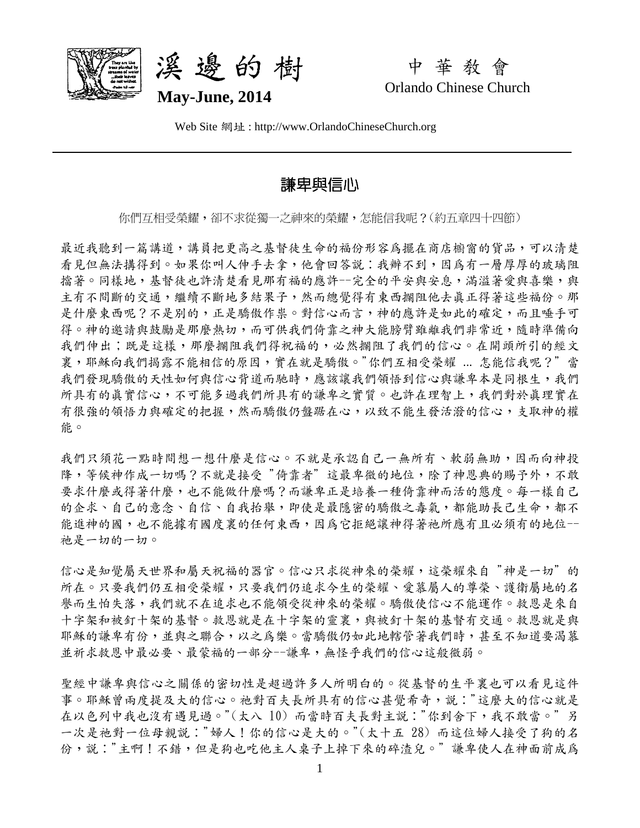



中 華 教 會 Orlando Chinese Church

Web Site 網址 : http://www.OrlandoChineseChurch.org

# 謙卑與信心

你們互相受榮耀,卻不求從獨一之神來的榮耀,怎能信我呢?(約五章四十四節)

最近我聽到一篇講道,講員把更高之基督徒生命的福份形容為擺在商店櫥窗的貨品,可以清楚 看見但無法搆得到。如果你叫人伸手去拿,他會回答說:我辦不到,因為有一層厚厚的玻璃阻 擋著。同樣地,基督徒也許清楚看見那有福的應許--完全的平安與安息,滿溢著愛與喜樂,與 主有不間斷的交通,繼續不斷地多結果子,然而總覺得有東西攔阻他去真正得著這些福份。那 是什麼東西呢?不是別的,正是驕傲作祟。對信心而言,神的應許是如此的確定,而且唾手可 得。神的邀請與鼓勵是那麼熱切,而可供我們倚靠之神大能膀臂雖離我們非常近,隨時準備向 我們伸出;既是這樣,那麼攔阻我們得祝福的,必然攔阻了我們的信心。在開頭所引的經文 裏,耶穌向我們揭露不能相信的原因,實在就是驕傲。"你們互相受榮耀 ... 怎能信我呢?"當 我們發現驕傲的天性如何與信心背道而馳時,應該讓我們領悟到信心與謙卑本是同根生,我們 所具有的真實信心,不可能多過我們所具有的謙卑之實質。也許在理智上,我們對於真理實在 有很強的領悟力與確定的把握,然而驕傲仍盤踞在心,以致不能生發活潑的信心,支取神的權 能。

我們只須花一點時間想一想什麼是信心。不就是承認自己一無所有、軟弱無助,因而向神投 降,等候神作成一切嗎?不就是接受"倚靠者"這最卑微的地位,除了神恩典的賜予外,不敢 要求什麼或得著什麼,也不能做什麼嗎?而謙卑正是培養一種倚靠神而活的態度。每一樣自己 的企求、自己的意念、自信、自我抬舉,即使是最隱密的驕傲之毒氣,都能助長己生命,都不 能進神的國,也不能據有國度裏的任何東西,因為它拒絕讓神得著祂所應有且必須有的地位--祂是一切的一切。

信心是知覺屬天世界和屬天祝福的器官。信心只求從神來的榮耀,這榮耀來自 "神是一切" 的 所在。只要我們仍互相受榮耀,只要我們仍追求今生的榮耀、愛慕屬人的尊榮、護衛屬地的名 譽而生怕失落,我們就不在追求也不能領受從神來的榮耀。驕傲使信心不能運作。救恩是來自 十字架和被釘十架的基督。救恩就是在十字架的靈裏,與被釘十架的基督有交通。救恩就是與 耶穌的謙卑有份,並與之聯合,以之為樂。當驕傲仍如此地轄管著我們時,甚至不知道要渴慕 並祈求救恩中最必要、最蒙福的一部分--謙卑,無怪乎我們的信心這般微弱。

聖經中謙卑與信心之關係的密切性是超過許多人所明白的。從基督的生平裏也可以看見這件 事。耶穌曾兩度提及大的信心。祂對百夫長所具有的信心甚覺希奇,說:"這麼大的信心就是 在以色列中我也沒有遇見過。"(太八 10) 而當時百夫長對主說:"你到舍下,我不敢當。"另 一次是祂對一位母親說:"婦人!你的信心是大的。"(太十五 28) 而這位婦人接受了狗的名 份,說:"主啊!不錯,但是狗也吃他主人桌子上掉下來的碎渣兒。"謙卑使人在神面前成爲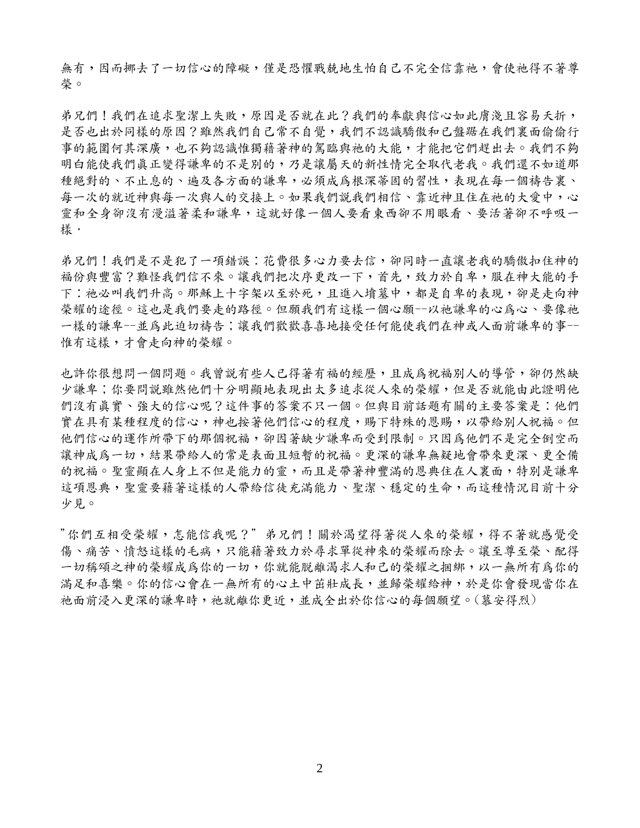無有,因而挪去了一切信心的障礙,僅是恐懼戰兢地生怕自己不完全信靠祂,會使祂得不著尊 榮。

弟兄們!我們在追求聖潔上失敗,原因是否就在此?我們的奉獻與信心如此膚淺且容易夭折, 是否也出於同樣的原因?雖然我們自己常不自覺,我們不認識驕傲和已盤踞在我們裏面偷偷行 事的範圍何其深廣,也不夠認識惟獨藉著神的駕臨與祂的大能,才能把它們趕出去。我們不夠 明白能使我們真正變得謙卑的不是別的,乃是讓屬天的新性情完全取代老我。我們還不如道那 種絕對的、不止息的、遍及各方面的謙卑,必須成為根深蒂固的習性,表現在每一個禱告裏、 每一次的就近神與每一次與人的交接上。如果我們說我們相信、靠近神且住在祂的大愛中,心 靈和全身卻沒有漫溢著柔和謙卑,這就好像一個人要看東西卻不用眼看、要活著卻不呼吸一 樣.

弟兄們!我們是不是犯了一項錯誤:花費很多心力要去信,卻同時一直讓老我的驕傲扣住神的 福份與豐富?難怪我們信不來。讓我們把次序更改一下,首先,致力於自卑,服在神大能的手 下:祂必叫我們升高。那穌上十字架以至於死,且進入墳墓中,都是自卑的表現,卻是走向神 榮耀的途徑。這也是我們要走的路徑。但願我們有這樣一個心願--以祂謙卑的心爲心、要像祂 一樣的謙卑--並為此迫切禱告;讓我們歡歡喜喜地接受任何能使我們在神或人面前謙卑的事-- 惟有這樣,才會走向神的榮耀。

也許你很想問一個問題。我曾說有些人已得著有福的經歷,且成為祝福別人的導管,卻仍然缺 少謙卑;你要問説雖然他們十分明顯地表現出太多追求從人來的榮耀,但是否就能由此證明他 們沒有真實、強大的信心呢?這件事的答案不只一個。但與目前話題有關的主要答案是:他們 實在具有某種程度的信心,神也按著他們信心的程度,賜下特殊的恩賜,以帶給別人祝福。但 他們信心的運作所帶下的那個祝福,卻因著缺少謙卑而受到限制。只因為他們不是完全倒空而 讓神成為一切,結果帶給人的常是表面且短暫的祝福。更深的謙卑無疑地會帶來更深、更全備 的祝福。聖靈顯在人身上不但是能力的靈,而且是帶著神豐滿的恩典住在人裏面,特別是謙卑 這項恩典,聖靈要藉著這樣的人帶給信徒充滿能力、聖潔、穩定的生命,而這種情況目前十分 少見。

"你們互相受榮耀,怎能信我呢?" 弟兄們!關於渴望得著從人來的榮耀,得不著就感覺受 傷、痛苦、憤怒這樣的毛病,只能藉著致力於尋求單從神來的榮耀而除去。讓至尊至榮、配得 一切稱頌之神的榮耀成為你的一切,你就能脫離渴求人和己的榮耀之捆綁,以一無所有為你的 満足和喜樂。你的信心會在一無所有的心土中茁壯成長,並歸榮耀給神,於是你會發現當你在 祂面前浸入更深的謙卑時,祂就離你更近,並成全出於你信心的每個願望。(慕安得烈)

2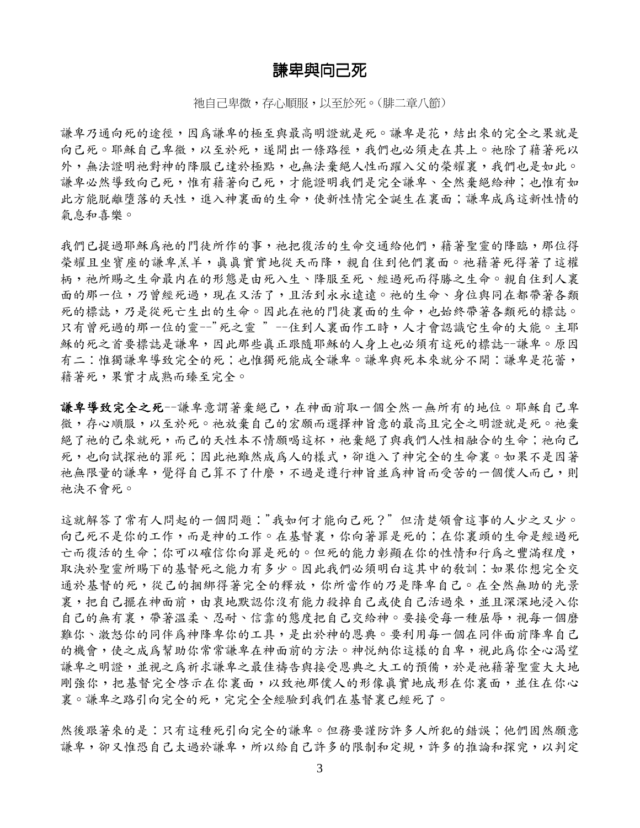### 謙卑與向己死

祂自己卑微,存心順服,以至於死。(腓二章八節)

謙卑乃通向死的途徑,因為謙卑的極至與最高明證就是死。謙卑是花,結出來的完全之果就是 向己死。耶穌自己卑微,以至於死,遂開出一條路徑,我們也必須走在其上。祂除了藉著死以 外,無法證明祂對神的降服已達於極點,也無法棄絕人性而躍入父的榮耀裏,我們也是如此。 謙卑必然導致向己死,惟有藉著向己死,才能證明我們是完全謙卑、全然棄絕給神;也惟有如 此方能脱離墮落的天性,進入神裏面的生命,使新性情完全誕生在裏面;謙卑成爲這新性情的 氣息和喜樂。

我們已提過耶穌為祂的門徒所作的事,祂把復活的生命交通給他們,藉著聖靈的降臨,那位得 榮耀且坐寶座的謙卑羔羊,真真實實地從天而降,親自住到他們裏面。祂藉著死得著了這權 柄,祂所賜之生命最內在的形態是由死入生、降服至死、經過死而得勝之生命。親自住到人裏 面的那一位,乃曾經死過,現在又活了,且活到永永遠遠。祂的生命、身位與同在都帶著各類 死的標誌,乃是從死亡生出的生命。因此在祂的門徒裏面的生命,也始終帶著各類死的標誌。 只有曾死過的那一位的靈--"死之靈 " --住到人裏面作工時,人才會認識它生命的大能。主耶 穌的死之首要標誌是謙卑,因此那些真正跟隨耶穌的人身上也必須有這死的標誌--謙卑。原因 有二:惟獨謙卑導致完全的死;也惟獨死能成全謙卑。謙卑與死本來就分不開:謙卑是花蕾, 藉著死,果實才成熟而臻至完全。

謙卑導致完全之死--謙卑意謂著棄絕己,在神面前取一個全然一無所有的地位。耶穌自己卑 微,存心順服,以至於死。祂放棄自己的宏願而選擇神旨意的最高且完全之明證就是死。祂棄 絕了祂的己來就死,而己的天性本不情願喝這杯,祂棄絕了與我們人性相融合的生命;祂向己 死,也向試探祂的罪死;因此祂餓成為人的樣式,卻進入了神完全的生命裏。如果不是因著 祂無限量的謙卑,覺得自己算不了什麼,不過是遵行神旨並為神旨而受苦的一個僕人而已,則 祂決不會死。

這就解答了常有人問起的一個問題:"我如何才能向己死?" 但清楚領會這事的人少之又少。 向己死不是你的工作,而是神的工作。在基督裏,你向著罪是死的;在你裏頭的生命是經過死 亡而復活的生命;你可以確信你向罪是死的。但死的能力彰顯在你的性情和行為之豐滿程度, 取決於聖靈所賜下的基督死之能力有多少。因此我們必須明白這其中的教訓:如果你想完全交 通於基督的死,從己的捆綁得著完全的釋放,你所當作的乃是降卑自己。在全然無助的光景 裏,把自己擺在神面前,由衷地默認你沒有能力殺掉自己或使自己活過來,並且深深地浸入你 自己的無有裏,帶著溫柔、忍耐、信靠的態度把自己交給神。要接受每一種屈辱,視每一個磨 難你、激怒你的同伴為神降卑你的工具,是出於神的恩典。要利用每一個在同伴面前降卑自己 的機會,使之成為幫助你常常謙卑在神面前的方法。神悦納你這樣的自卑,視此為你全心渴望 謙卑之明證,並視之為祈求謙卑之最佳禱告與接受恩典之大工的預備,於是祂藉著聖靈大大地 剛強你,把基督完全啓示在你裏面,以致祂那僕人的形像真實地成形在你裏面,並住在你心 裏。謙卑之路引向完全的死,完完全全經驗到我們在基督裏已經死了。

然後跟著來的是:只有這種死引向完全的謙卑。但務要謹防許多人所犯的錯誤;他們固然願意 謙卑,卻又惟恐自己太識卑,所以給自己許多的限制和定規,許多的推論和探究,以判定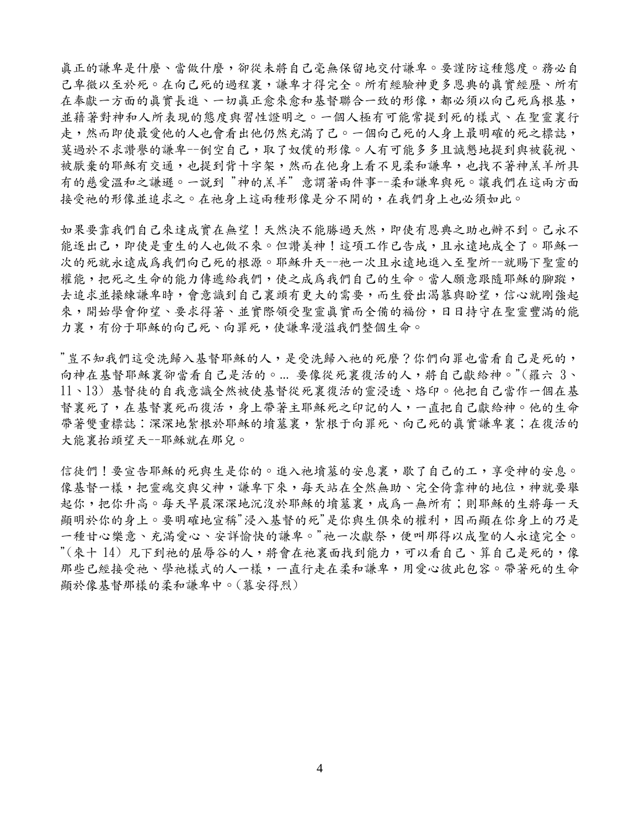真正的謙卑是什麼、當做什麼,卻從未將自己毫無保留地交付謙卑。要謹防這種態度。務必自 己卑微以至於死。在向己死的過程裏,謙卑才得完全。所有經驗神更多恩典的真實經歷、所有 在奉獻一方面的真實長進、一切真正愈來愈和基督聯合一致的形像,都必須以向己死為根基, 並藉著對神和人所表現的態度與習性證明之。一個人極有可能常提到死的樣式、在聖靈裏行 走,然而即使最愛他的人也會看出他仍然充滿了己。一個向己死的人身上最明確的死之標誌, 莫過於不求讚譽的謙卑一倒空自己,取了奴僕的形像。人有可能多多且誠懇地提到與被藐視、 被厭棄的耶穌有交通,也提到背十字架,然而在他身上看不見柔和謙卑,也找不著神羔羊所具 有的慈愛溫和之謙遜。一說到 "神的羔羊" 意謂著兩件事--柔和謙卑與死。讓我們在這兩方面 接受祂的形像並追求之。在祂身上這兩種形像是分不開的,在我們身上也必須如此。

如果要靠我們自己來達成實在無望!天然決不能勝過天然,即使有恩典之助也辦不到。己永不 能逐出己,即使是重生的人也做不來。但讚美神!這項工作已告成,且永遠地成全了。耶穌一 次的死就永遠成爲我們向己死的根源。耶穌升天--祂一次且永遠地進入至聖所--就賜下聖靈的 權能,把死之生命的能力傳遞給我們,使之成為我們自己的生命。當人願意跟隨耶穌的腳蹤, 去追求並操練謙卑時,會意識到自己裏頭有更大的需要,而生發出渴慕與盼望,信心就剛強起 來,開始學會仰望、要求得著、並實際領受聖靈真實而全備的福份,日日持守在聖靈豐滿的能 力裏,有份于耶穌的向己死、向罪死,使謙卑漫溢我們整個生命。

"豈不知我們這受洗歸入基督耶穌的人,是受洗歸入祂的死麼?你們向罪也當看自己是死的, 向神在基督耶穌裏卻當看自己是活的。... 要像從死裏復活的人,將自己獻給神。"(羅六 3、 11、13) 基督徒的自我意識全然被使基督從死裏復活的靈浸透、烙印。他把自己當作一個在基 督裏死了,在基督裏死而復活,身上帶著主耶穌死之印記的人,一直把自己獻給神。他的生命 帶著雙重標誌:深深地紮根於耶穌的墳墓裏,繁根于向罪死、向己死的真實謙卑裏;在復活的 大能裏抬頭望天--耶穌就在那兒。

信徒們!要宣告耶穌的死與生是你的。進入祂墳墓的安息裏,歇了自己的工,享受神的安息。 像基督一樣,把靈魂交與父神,謙卑下來,每天站在全然無助、完全倚靠神的地位,神就要舉 起你,把你升高。每天早晨深深地沉沒於耶穌的墳墓裏,成為一無所有;則耶穌的生將每一天 顯明於你的身上。要明確地宣稱"浸入基督的死"是你與生俱來的權利,因而顯在你身上的乃是 一種甘心樂意、充滿愛心、安詳愉快的謙卑。"祂一次獻祭,便叫那得以成聖的人永遠完全。 "(來十 14) 凡下到祂的屈辱谷的人,將會在祂裏面找到能力,可以看自己、算自己是死的,像 那些已經接受祂、學祂樣式的人一樣,一直行走在柔和謙卑,用愛心彼此包容。帶著死的生命 顯於像基督那樣的柔和謙卑中。(慕安得烈)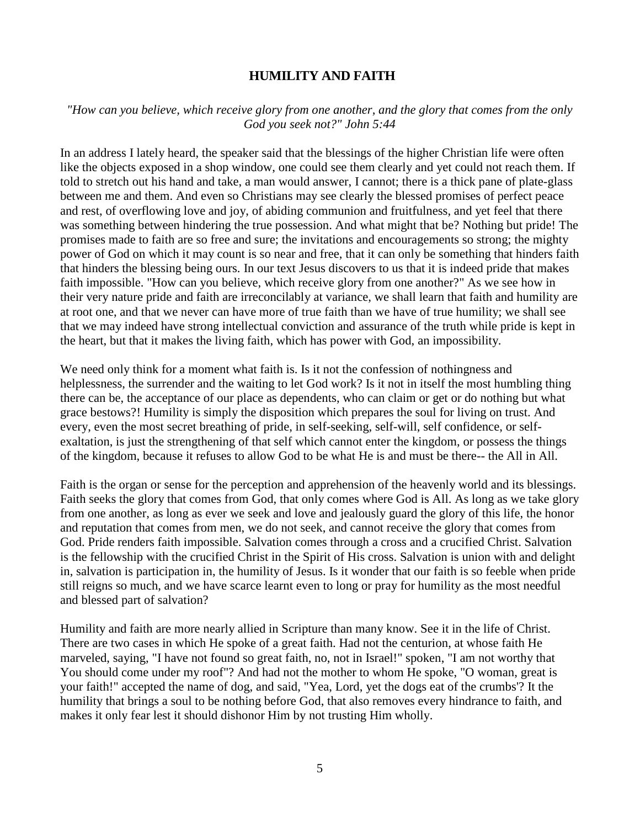### **HUMILITY AND FAITH**

### *"How can you believe, which receive glory from one another, and the glory that comes from the only God you seek not?" John 5:44*

In an address I lately heard, the speaker said that the blessings of the higher Christian life were often like the objects exposed in a shop window, one could see them clearly and yet could not reach them. If told to stretch out his hand and take, a man would answer, I cannot; there is a thick pane of plate-glass between me and them. And even so Christians may see clearly the blessed promises of perfect peace and rest, of overflowing love and joy, of abiding communion and fruitfulness, and yet feel that there was something between hindering the true possession. And what might that be? Nothing but pride! The promises made to faith are so free and sure; the invitations and encouragements so strong; the mighty power of God on which it may count is so near and free, that it can only be something that hinders faith that hinders the blessing being ours. In our text Jesus discovers to us that it is indeed pride that makes faith impossible. "How can you believe, which receive glory from one another?" As we see how in their very nature pride and faith are irreconcilably at variance, we shall learn that faith and humility are at root one, and that we never can have more of true faith than we have of true humility; we shall see that we may indeed have strong intellectual conviction and assurance of the truth while pride is kept in the heart, but that it makes the living faith, which has power with God, an impossibility.

We need only think for a moment what faith is. Is it not the confession of nothingness and helplessness, the surrender and the waiting to let God work? Is it not in itself the most humbling thing there can be, the acceptance of our place as dependents, who can claim or get or do nothing but what grace bestows?! Humility is simply the disposition which prepares the soul for living on trust. And every, even the most secret breathing of pride, in self-seeking, self-will, self confidence, or selfexaltation, is just the strengthening of that self which cannot enter the kingdom, or possess the things of the kingdom, because it refuses to allow God to be what He is and must be there-- the All in All.

Faith is the organ or sense for the perception and apprehension of the heavenly world and its blessings. Faith seeks the glory that comes from God, that only comes where God is All. As long as we take glory from one another, as long as ever we seek and love and jealously guard the glory of this life, the honor and reputation that comes from men, we do not seek, and cannot receive the glory that comes from God. Pride renders faith impossible. Salvation comes through a cross and a crucified Christ. Salvation is the fellowship with the crucified Christ in the Spirit of His cross. Salvation is union with and delight in, salvation is participation in, the humility of Jesus. Is it wonder that our faith is so feeble when pride still reigns so much, and we have scarce learnt even to long or pray for humility as the most needful and blessed part of salvation?

Humility and faith are more nearly allied in Scripture than many know. See it in the life of Christ. There are two cases in which He spoke of a great faith. Had not the centurion, at whose faith He marveled, saying, "I have not found so great faith, no, not in Israel!" spoken, "I am not worthy that You should come under my roof"? And had not the mother to whom He spoke, "O woman, great is your faith!" accepted the name of dog, and said, "Yea, Lord, yet the dogs eat of the crumbs'? It the humility that brings a soul to be nothing before God, that also removes every hindrance to faith, and makes it only fear lest it should dishonor Him by not trusting Him wholly.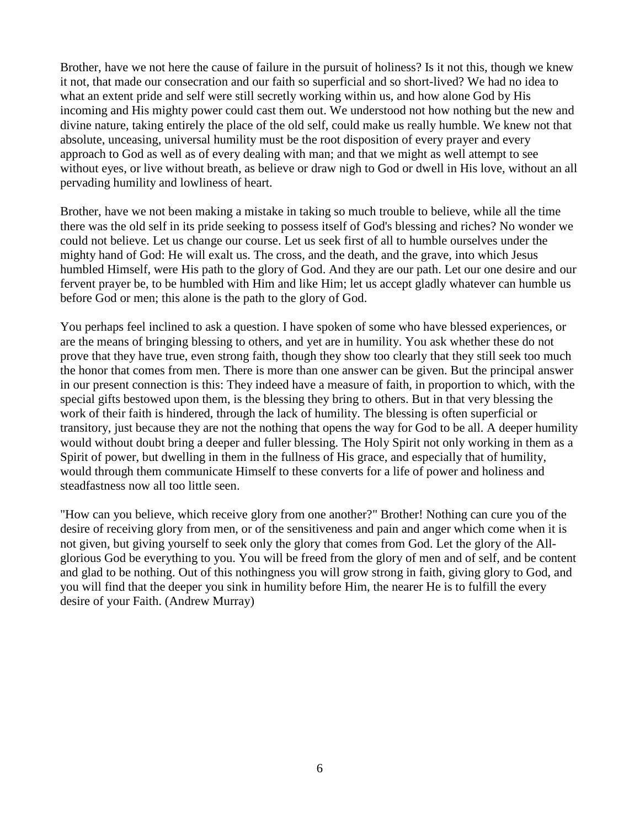Brother, have we not here the cause of failure in the pursuit of holiness? Is it not this, though we knew it not, that made our consecration and our faith so superficial and so short-lived? We had no idea to what an extent pride and self were still secretly working within us, and how alone God by His incoming and His mighty power could cast them out. We understood not how nothing but the new and divine nature, taking entirely the place of the old self, could make us really humble. We knew not that absolute, unceasing, universal humility must be the root disposition of every prayer and every approach to God as well as of every dealing with man; and that we might as well attempt to see without eyes, or live without breath, as believe or draw nigh to God or dwell in His love, without an all pervading humility and lowliness of heart.

Brother, have we not been making a mistake in taking so much trouble to believe, while all the time there was the old self in its pride seeking to possess itself of God's blessing and riches? No wonder we could not believe. Let us change our course. Let us seek first of all to humble ourselves under the mighty hand of God: He will exalt us. The cross, and the death, and the grave, into which Jesus humbled Himself, were His path to the glory of God. And they are our path. Let our one desire and our fervent prayer be, to be humbled with Him and like Him; let us accept gladly whatever can humble us before God or men; this alone is the path to the glory of God.

You perhaps feel inclined to ask a question. I have spoken of some who have blessed experiences, or are the means of bringing blessing to others, and yet are in humility. You ask whether these do not prove that they have true, even strong faith, though they show too clearly that they still seek too much the honor that comes from men. There is more than one answer can be given. But the principal answer in our present connection is this: They indeed have a measure of faith, in proportion to which, with the special gifts bestowed upon them, is the blessing they bring to others. But in that very blessing the work of their faith is hindered, through the lack of humility. The blessing is often superficial or transitory, just because they are not the nothing that opens the way for God to be all. A deeper humility would without doubt bring a deeper and fuller blessing. The Holy Spirit not only working in them as a Spirit of power, but dwelling in them in the fullness of His grace, and especially that of humility, would through them communicate Himself to these converts for a life of power and holiness and steadfastness now all too little seen.

"How can you believe, which receive glory from one another?" Brother! Nothing can cure you of the desire of receiving glory from men, or of the sensitiveness and pain and anger which come when it is not given, but giving yourself to seek only the glory that comes from God. Let the glory of the Allglorious God be everything to you. You will be freed from the glory of men and of self, and be content and glad to be nothing. Out of this nothingness you will grow strong in faith, giving glory to God, and you will find that the deeper you sink in humility before Him, the nearer He is to fulfill the every desire of your Faith. (Andrew Murray)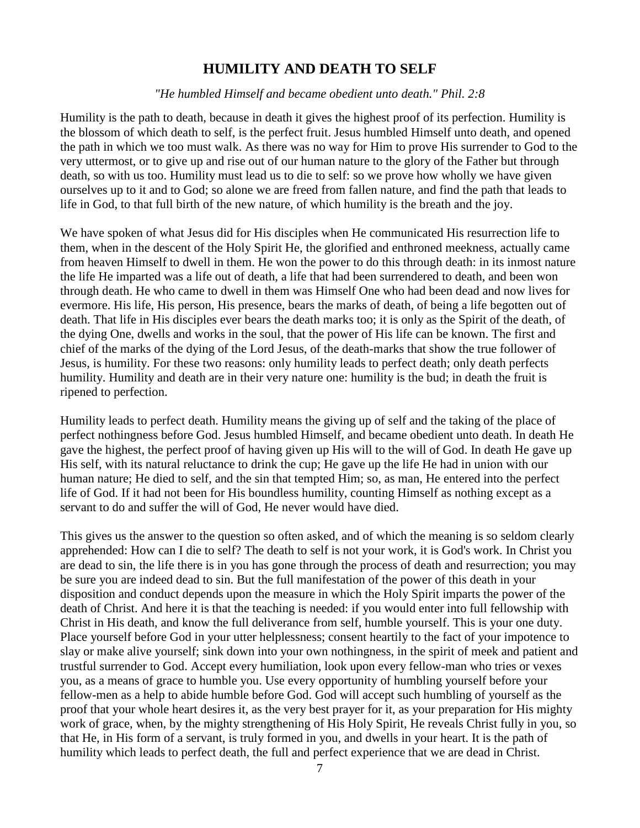## **HUMILITY AND DEATH TO SELF**

#### *"He humbled Himself and became obedient unto death." Phil. 2:8*

Humility is the path to death, because in death it gives the highest proof of its perfection. Humility is the blossom of which death to self, is the perfect fruit. Jesus humbled Himself unto death, and opened the path in which we too must walk. As there was no way for Him to prove His surrender to God to the very uttermost, or to give up and rise out of our human nature to the glory of the Father but through death, so with us too. Humility must lead us to die to self: so we prove how wholly we have given ourselves up to it and to God; so alone we are freed from fallen nature, and find the path that leads to life in God, to that full birth of the new nature, of which humility is the breath and the joy.

We have spoken of what Jesus did for His disciples when He communicated His resurrection life to them, when in the descent of the Holy Spirit He, the glorified and enthroned meekness, actually came from heaven Himself to dwell in them. He won the power to do this through death: in its inmost nature the life He imparted was a life out of death, a life that had been surrendered to death, and been won through death. He who came to dwell in them was Himself One who had been dead and now lives for evermore. His life, His person, His presence, bears the marks of death, of being a life begotten out of death. That life in His disciples ever bears the death marks too; it is only as the Spirit of the death, of the dying One, dwells and works in the soul, that the power of His life can be known. The first and chief of the marks of the dying of the Lord Jesus, of the death-marks that show the true follower of Jesus, is humility. For these two reasons: only humility leads to perfect death; only death perfects humility. Humility and death are in their very nature one: humility is the bud; in death the fruit is ripened to perfection.

Humility leads to perfect death. Humility means the giving up of self and the taking of the place of perfect nothingness before God. Jesus humbled Himself, and became obedient unto death. In death He gave the highest, the perfect proof of having given up His will to the will of God. In death He gave up His self, with its natural reluctance to drink the cup; He gave up the life He had in union with our human nature; He died to self, and the sin that tempted Him; so, as man, He entered into the perfect life of God. If it had not been for His boundless humility, counting Himself as nothing except as a servant to do and suffer the will of God, He never would have died.

This gives us the answer to the question so often asked, and of which the meaning is so seldom clearly apprehended: How can I die to self? The death to self is not your work, it is God's work. In Christ you are dead to sin, the life there is in you has gone through the process of death and resurrection; you may be sure you are indeed dead to sin. But the full manifestation of the power of this death in your disposition and conduct depends upon the measure in which the Holy Spirit imparts the power of the death of Christ. And here it is that the teaching is needed: if you would enter into full fellowship with Christ in His death, and know the full deliverance from self, humble yourself. This is your one duty. Place yourself before God in your utter helplessness; consent heartily to the fact of your impotence to slay or make alive yourself; sink down into your own nothingness, in the spirit of meek and patient and trustful surrender to God. Accept every humiliation, look upon every fellow-man who tries or vexes you, as a means of grace to humble you. Use every opportunity of humbling yourself before your fellow-men as a help to abide humble before God. God will accept such humbling of yourself as the proof that your whole heart desires it, as the very best prayer for it, as your preparation for His mighty work of grace, when, by the mighty strengthening of His Holy Spirit, He reveals Christ fully in you, so that He, in His form of a servant, is truly formed in you, and dwells in your heart. It is the path of humility which leads to perfect death, the full and perfect experience that we are dead in Christ.